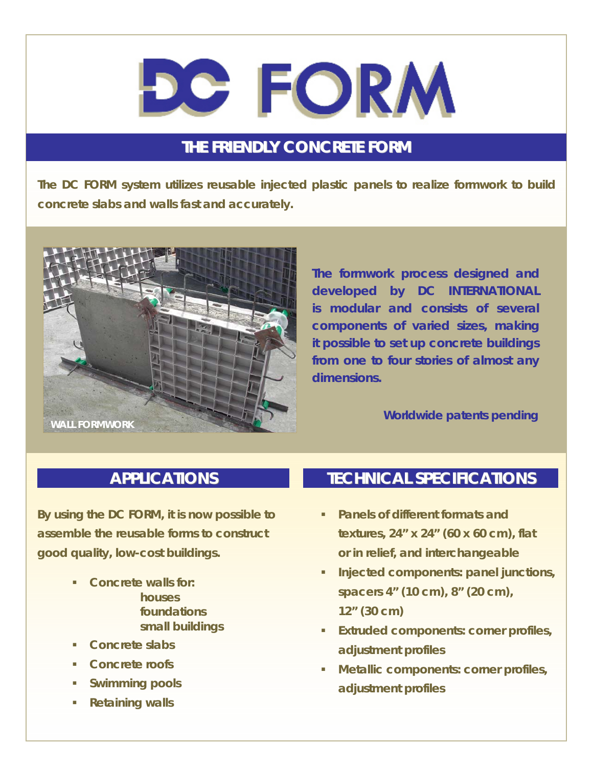# **DC FORM**

### **THE FRIENDLY CONCRETE FORM**

**The DC FORM system utilizes reusable injected plastic panels to realize formwork to build concrete slabs and walls fast and accurately.** 



**The formwork process designed and developed by DC INTERNATIONAL is modular and consists of several components of varied sizes, making it possible to set up concrete buildings from one to four stories of almost any dimensions.** 

#### *Worldwide patents pending*

#### **APPLICATIONS**

**By using the DC FORM, it is now possible to assemble the reusable forms to construct good quality, low-cost buildings.** 

- **Concrete walls for: houses foundations small buildings**
- **Concrete slabs**
- **Concrete roofs**
- **Swimming pools**
- **Retaining walls**

#### **TECHNICAL SPECIFICATIONS**

- **Panels of different formats and textures, 24" x 24" (60 x 60 cm), flat or in relief, and interchangeable**
- **Injected components: panel junctions, spacers 4" (10 cm), 8" (20 cm), 12" (30 cm)**
- **Extruded components: corner profiles, adjustment profiles**
- **Metallic components: corner profiles, adjustment profiles**